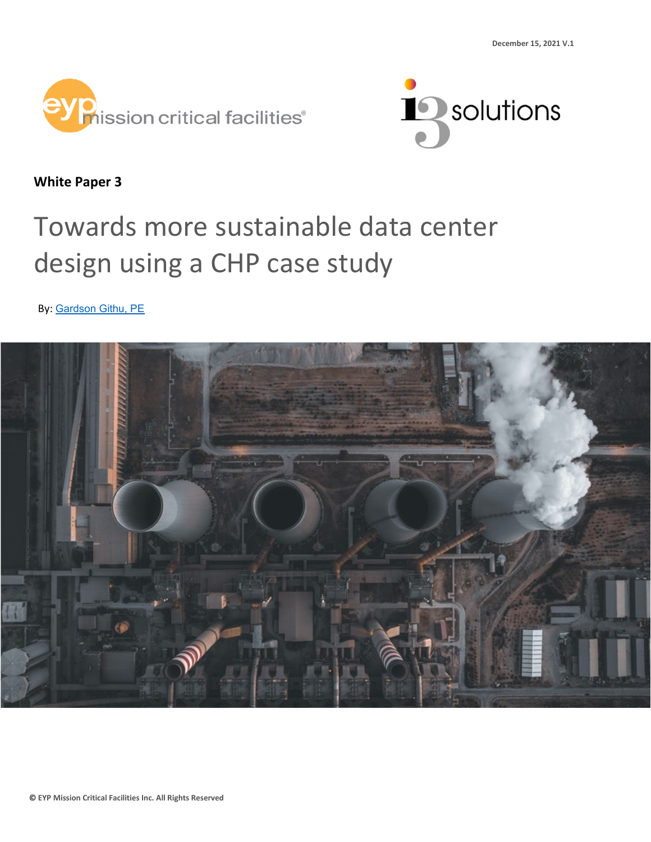



**White Paper 3**

# Towards more sustainable data center design using a CHP case study

By: [Gardson Githu, PE](https://www.linkedin.com/in/gardson-githu-20793933/)

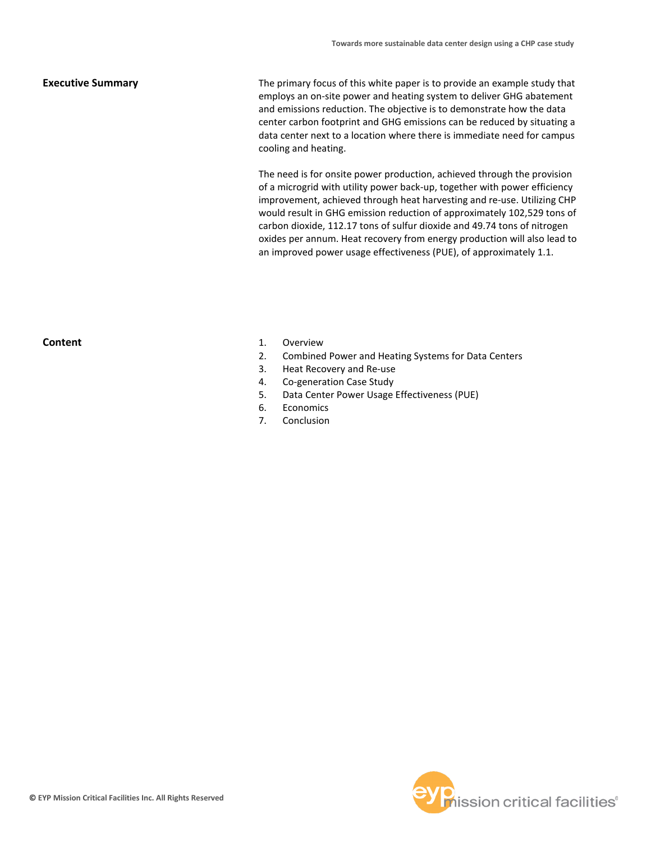#### **Executive Summary**

The primary focus of this white paper is to provide an example study that employs an on-site power and heating system to deliver GHG abatement and emissions reduction. The objective is to demonstrate how the data center carbon footprint and GHG emissions can be reduced by situating a data center next to a location where there is immediate need for campus cooling and heating.

The need is for onsite power production, achieved through the provision of a microgrid with utility power back-up, together with power efficiency improvement, achieved through heat harvesting and re-use. Utilizing CHP would result in GHG emission reduction of approximately 102,529 tons of carbon dioxide, 112.17 tons of sulfur dioxide and 49.74 tons of nitrogen oxides per annum. Heat recovery from energy production will also lead to an improved power usage effectiveness (PUE), of approximately 1.1.

## **Content**

- 1. Overview
- 2. Combined Power and Heating Systems for Data Centers
- 3. Heat Recovery and Re-use
- 4. Co-generation Case Study
- 5. Data Center Power Usage Effectiveness (PUE)
- 6. Economics
- 7. Conclusion

![](_page_1_Picture_12.jpeg)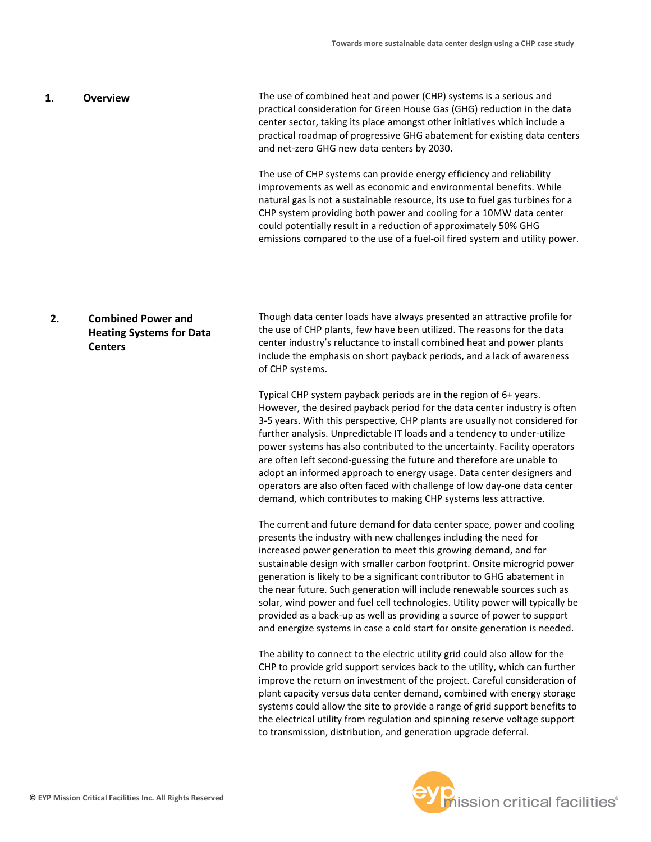#### The use of combined heat and power (CHP) systems is a serious and practical consideration for Green House Gas (GHG) reduction in the data center sector, taking its place amongst other initiatives which include a practical roadmap of progressive GHG abatement for existing data centers and net-zero GHG new data centers by 2030. **1. Overview**

The use of CHP systems can provide energy efficiency and reliability improvements as well as economic and environmental benefits. While natural gas is not a sustainable resource, its use to fuel gas turbines for a CHP system providing both power and cooling for a 10MW data center could potentially result in a reduction of approximately 50% GHG emissions compared to the use of a fuel-oil fired system and utility power.

## **2. Combined Power and Heating Systems for Data Centers**

Though data center loads have always presented an attractive profile for the use of CHP plants, few have been utilized. The reasons for the data center industry's reluctance to install combined heat and power plants include the emphasis on short payback periods, and a lack of awareness of CHP systems.

Typical CHP system payback periods are in the region of 6+ years. However, the desired payback period for the data center industry is often 3-5 years. With this perspective, CHP plants are usually not considered for further analysis. Unpredictable IT loads and a tendency to under-utilize power systems has also contributed to the uncertainty. Facility operators are often left second-guessing the future and therefore are unable to adopt an informed approach to energy usage. Data center designers and operators are also often faced with challenge of low day-one data center demand, which contributes to making CHP systems less attractive.

The current and future demand for data center space, power and cooling presents the industry with new challenges including the need for increased power generation to meet this growing demand, and for sustainable design with smaller carbon footprint. Onsite microgrid power generation is likely to be a significant contributor to GHG abatement in the near future. Such generation will include renewable sources such as solar, wind power and fuel cell technologies. Utility power will typically be provided as a back-up as well as providing a source of power to support and energize systems in case a cold start for onsite generation is needed.

The ability to connect to the electric utility grid could also allow for the CHP to provide grid support services back to the utility, which can further improve the return on investment of the project. Careful consideration of plant capacity versus data center demand, combined with energy storage systems could allow the site to provide a range of grid support benefits to the electrical utility from regulation and spinning reserve voltage support to transmission, distribution, and generation upgrade deferral.

![](_page_2_Picture_8.jpeg)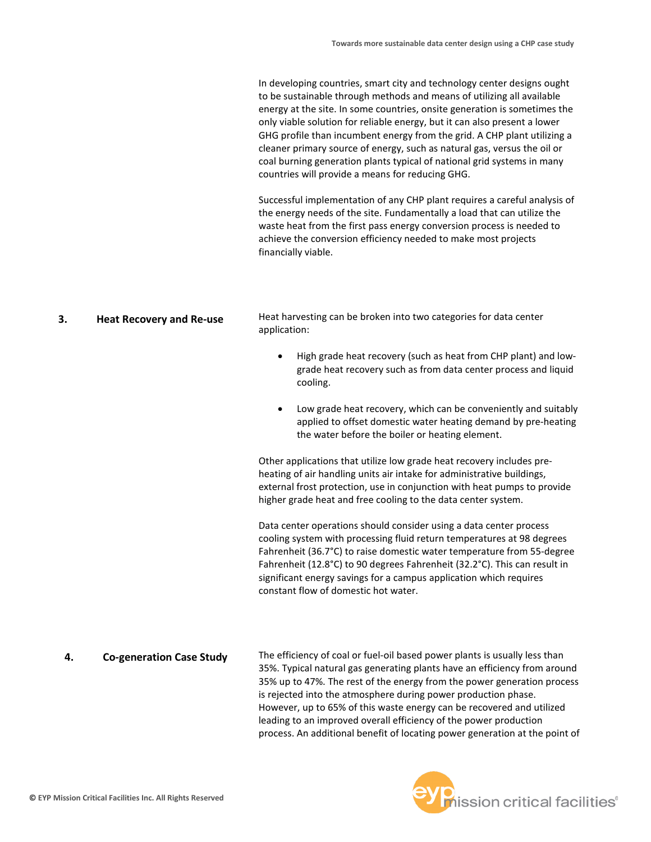In developing countries, smart city and technology center designs ought to be sustainable through methods and means of utilizing all available energy at the site. In some countries, onsite generation is sometimes the only viable solution for reliable energy, but it can also present a lower GHG profile than incumbent energy from the grid. A CHP plant utilizing a cleaner primary source of energy, such as natural gas, versus the oil or coal burning generation plants typical of national grid systems in many countries will provide a means for reducing GHG.

Successful implementation of any CHP plant requires a careful analysis of the energy needs of the site. Fundamentally a load that can utilize the waste heat from the first pass energy conversion process is needed to achieve the conversion efficiency needed to make most projects financially viable.

Heat harvesting can be broken into two categories for data center application: **3. Heat Recovery and Re-use**

- High grade heat recovery (such as heat from CHP plant) and lowgrade heat recovery such as from data center process and liquid cooling.
- Low grade heat recovery, which can be conveniently and suitably applied to offset domestic water heating demand by pre-heating the water before the boiler or heating element.

Other applications that utilize low grade heat recovery includes preheating of air handling units air intake for administrative buildings, external frost protection, use in conjunction with heat pumps to provide higher grade heat and free cooling to the data center system.

Data center operations should consider using a data center process cooling system with processing fluid return temperatures at 98 degrees Fahrenheit (36.7°C) to raise domestic water temperature from 55-degree Fahrenheit (12.8°C) to 90 degrees Fahrenheit (32.2°C). This can result in significant energy savings for a campus application which requires constant flow of domestic hot water.

## **4. Co-generation Case Study**

The efficiency of coal or fuel-oil based power plants is usually less than 35%. Typical natural gas generating plants have an efficiency from around 35% up to 47%. The rest of the energy from the power generation process is rejected into the atmosphere during power production phase. However, up to 65% of this waste energy can be recovered and utilized leading to an improved overall efficiency of the power production process. An additional benefit of locating power generation at the point of

![](_page_3_Picture_10.jpeg)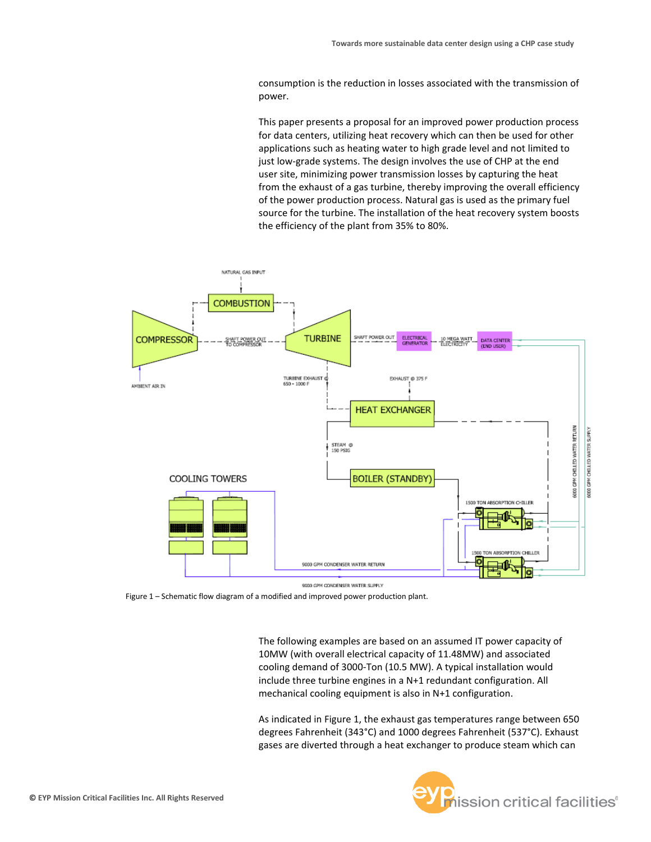consumption is the reduction in losses associated with the transmission of power.

This paper presents a proposal for an improved power production process for data centers, utilizing heat recovery which can then be used for other applications such as heating water to high grade level and not limited to just low-grade systems. The design involves the use of CHP at the end user site, minimizing power transmission losses by capturing the heat from the exhaust of a gas turbine, thereby improving the overall efficiency of the power production process. Natural gas is used as the primary fuel source for the turbine. The installation of the heat recovery system boosts the efficiency of the plant from 35% to 80%.

![](_page_4_Figure_3.jpeg)

9000 GPM CONDENSER WATER SUPPLY

Figure 1 – Schematic flow diagram of a modified and improved power production plant.

The following examples are based on an assumed IT power capacity of 10MW (with overall electrical capacity of 11.48MW) and associated cooling demand of 3000-Ton (10.5 MW). A typical installation would include three turbine engines in a N+1 redundant configuration. All mechanical cooling equipment is also in N+1 configuration.

As indicated in Figure 1, the exhaust gas temperatures range between 650 degrees Fahrenheit (343°C) and 1000 degrees Fahrenheit (537°C). Exhaust gases are diverted through a heat exchanger to produce steam which can

![](_page_4_Picture_8.jpeg)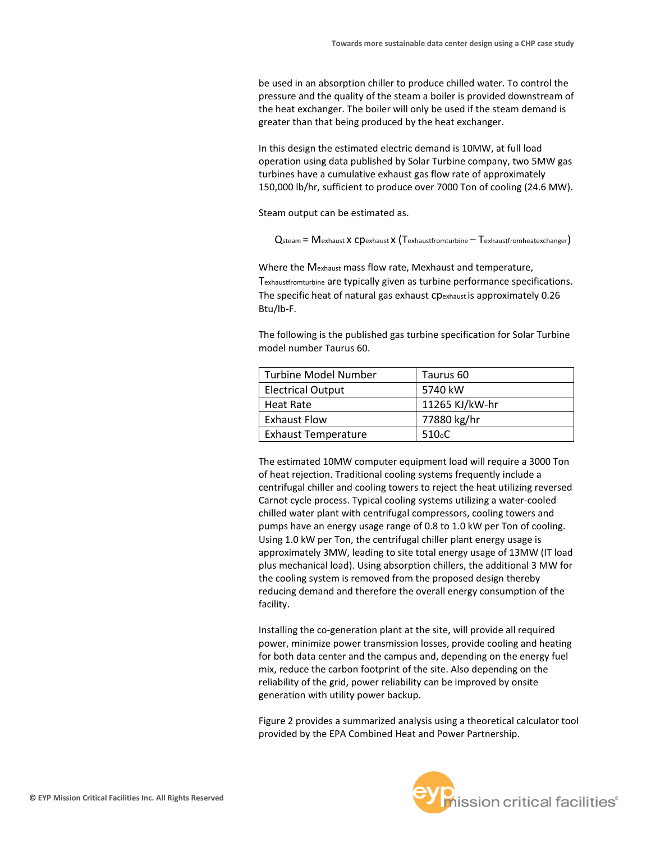be used in an absorption chiller to produce chilled water. To control the pressure and the quality of the steam a boiler is provided downstream of the heat exchanger. The boiler will only be used if the steam demand is greater than that being produced by the heat exchanger.

In this design the estimated electric demand is 10MW, at full load operation using data published by Solar Turbine company, two 5MW gas turbines have a cumulative exhaust gas flow rate of approximately 150,000 lb/hr, sufficient to produce over 7000 Ton of cooling (24.6 MW).

Steam output can be estimated as.

 $Q<sub>steam</sub> = M<sub>exhaust</sub> x C<sub>pexhaust</sub> x (T<sub>exhaustfrom the</sub> T<sub>exhaustfrom the</sub> at  $Q<sub>st</sub>$$ 

Where the Mexhaust mass flow rate, Mexhaust and temperature, Texhaustfromturbine are typically given as turbine performance specifications. The specific heat of natural gas exhaust cpexhaust is approximately 0.26 Btu/lb-F.

The following is the published gas turbine specification for Solar Turbine model number Taurus 60.

| <b>Turbine Model Number</b> | Taurus 60          |
|-----------------------------|--------------------|
| <b>Electrical Output</b>    | 5740 kW            |
| Heat Rate                   | 11265 KJ/kW-hr     |
| <b>Exhaust Flow</b>         | 77880 kg/hr        |
| <b>Exhaust Temperature</b>  | 510 <sub>o</sub> C |

The estimated 10MW computer equipment load will require a 3000 Ton of heat rejection. Traditional cooling systems frequently include a centrifugal chiller and cooling towers to reject the heat utilizing reversed Carnot cycle process. Typical cooling systems utilizing a water-cooled chilled water plant with centrifugal compressors, cooling towers and pumps have an energy usage range of 0.8 to 1.0 kW per Ton of cooling. Using 1.0 kW per Ton, the centrifugal chiller plant energy usage is approximately 3MW, leading to site total energy usage of 13MW (IT load plus mechanical load). Using absorption chillers, the additional 3 MW for the cooling system is removed from the proposed design thereby reducing demand and therefore the overall energy consumption of the facility.

Installing the co-generation plant at the site, will provide all required power, minimize power transmission losses, provide cooling and heating for both data center and the campus and, depending on the energy fuel mix, reduce the carbon footprint of the site. Also depending on the reliability of the grid, power reliability can be improved by onsite generation with utility power backup.

Figure 2 provides a summarized analysis using a theoretical calculator tool provided by the EPA Combined Heat and Power Partnership.

![](_page_5_Picture_11.jpeg)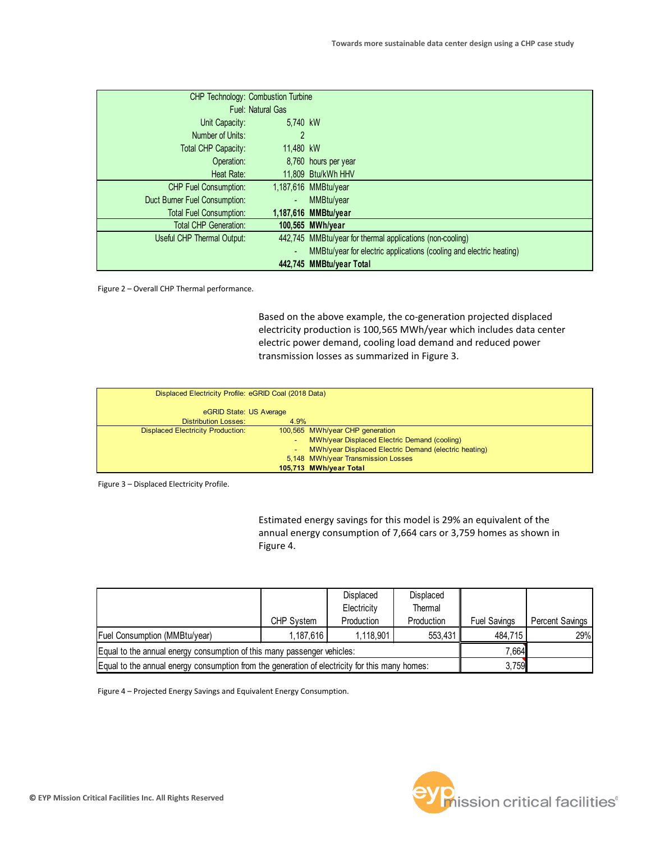| CHP Technology: Combustion Turbine |           |                                                                     |
|------------------------------------|-----------|---------------------------------------------------------------------|
| <b>Fuel: Natural Gas</b>           |           |                                                                     |
| Unit Capacity:                     | 5,740 kW  |                                                                     |
| Number of Units:                   | 2         |                                                                     |
| Total CHP Capacity:                | 11,480 kW |                                                                     |
| Operation:                         |           | 8,760 hours per year                                                |
| Heat Rate:                         |           | 11,809 Btu/kWh HHV                                                  |
| <b>CHP Fuel Consumption:</b>       |           | 1,187,616 MMBtu/year                                                |
| Duct Burner Fuel Consumption:      |           | MMBtu/year                                                          |
| <b>Total Fuel Consumption:</b>     |           | 1,187,616 MMBtu/year                                                |
| <b>Total CHP Generation:</b>       |           | 100,565 MWh/year                                                    |
| Useful CHP Thermal Output:         |           | 442,745 MMBtu/year for thermal applications (non-cooling)           |
|                                    |           | MMBtu/year for electric applications (cooling and electric heating) |
|                                    |           | 442,745 MMBtu/year Total                                            |

Figure 2 – Overall CHP Thermal performance.

Based on the above example, the co-generation projected displaced electricity production is 100,565 MWh/year which includes data center electric power demand, cooling load demand and reduced power transmission losses as summarized in Figure 3.

| Displaced Electricity Profile: eGRID Coal (2018 Data) |                                                       |
|-------------------------------------------------------|-------------------------------------------------------|
| eGRID State: US Average                               |                                                       |
| <b>Distribution Losses:</b><br>4.9%                   |                                                       |
| <b>Displaced Electricity Production:</b>              | 100,565 MWh/year CHP generation                       |
|                                                       | MWh/year Displaced Electric Demand (cooling)          |
| ٠                                                     | MWh/year Displaced Electric Demand (electric heating) |
|                                                       | 5,148 MWh/year Transmission Losses                    |
|                                                       | 105,713 MWh/year Total                                |

Figure 3 – Displaced Electricity Profile.

Estimated energy savings for this model is 29% an equivalent of the annual energy consumption of 7,664 cars or 3,759 homes as shown in Figure 4.

|                                                                                                |            | Displaced   | Displaced  |                     |                 |
|------------------------------------------------------------------------------------------------|------------|-------------|------------|---------------------|-----------------|
|                                                                                                |            | Electricity | Thermal    |                     |                 |
|                                                                                                | CHP System | Production  | Production | <b>Fuel Savings</b> | Percent Savings |
| <b>Fuel Consumption (MMBtu/year)</b>                                                           | 1.187.616  | 1,118,901   | 553,431    | 484.715             | 29%             |
| Equal to the annual energy consumption of this many passenger vehicles:                        | 7.6641     |             |            |                     |                 |
| Equal to the annual energy consumption from the generation of electricity for this many homes: |            |             |            | 3,759               |                 |

Figure 4 – Projected Energy Savings and Equivalent Energy Consumption.

![](_page_6_Picture_9.jpeg)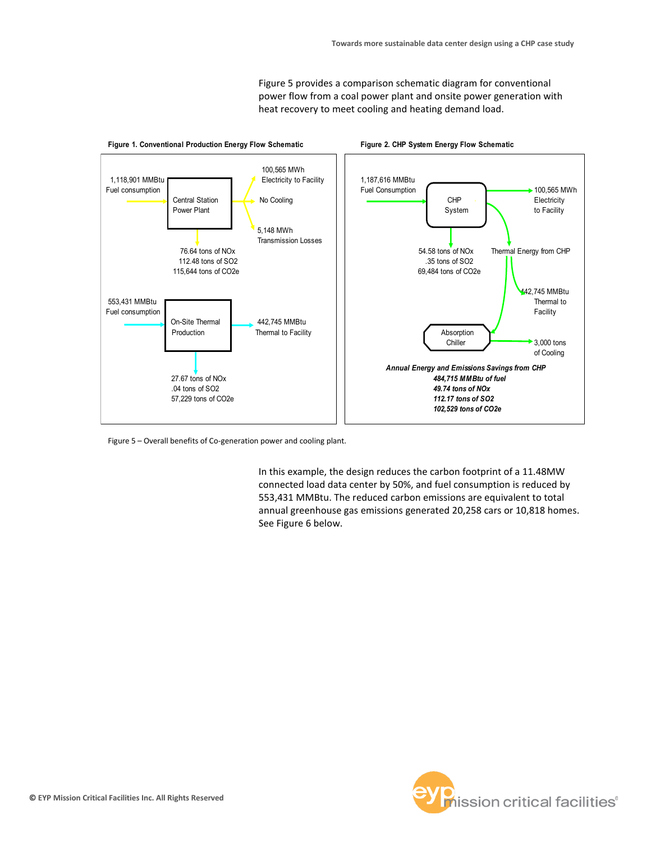Figure 5 provides a comparison schematic diagram for conventional power flow from a coal power plant and onsite power generation with heat recovery to meet cooling and heating demand load.

![](_page_7_Figure_2.jpeg)

Figure 5 – Overall benefits of Co-generation power and cooling plant.

In this example, the design reduces the carbon footprint of a 11.48MW connected load data center by 50%, and fuel consumption is reduced by 553,431 MMBtu. The reduced carbon emissions are equivalent to total annual greenhouse gas emissions generated 20,258 cars or 10,818 homes. See Figure 6 below.

![](_page_7_Picture_5.jpeg)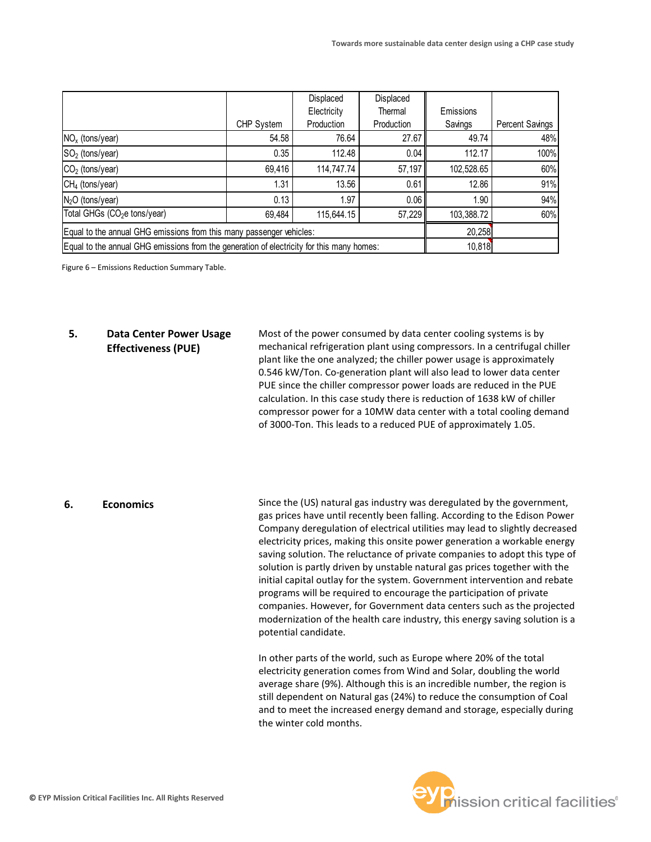|                                                                                           |            | Displaced   | Displaced  |            |                        |
|-------------------------------------------------------------------------------------------|------------|-------------|------------|------------|------------------------|
|                                                                                           |            | Electricity | Thermal    | Emissions  |                        |
|                                                                                           | CHP System | Production  | Production | Savings    | <b>Percent Savings</b> |
| $NOx$ (tons/year)                                                                         | 54.58      | 76.64       | 27.67      | 49.74      | 48%                    |
| $SO2$ (tons/year)                                                                         | 0.35       | 112.48      | 0.04       | 112.17     | 100%                   |
| $CO2$ (tons/year)                                                                         | 69,416     | 114,747.74  | 57,197     | 102,528.65 | 60%                    |
| $CH4$ (tons/year)                                                                         | 1.31       | 13.56       | 0.61       | 12.86      | 91%                    |
| $N2O$ (tons/year)                                                                         | 0.13       | 1.97        | 0.06       | 1.90       | 94%                    |
| Total GHGs (CO <sub>2</sub> e tons/year)                                                  | 69,484     | 115,644.15  | 57,229     | 103,388.72 | 60%                    |
| Equal to the annual GHG emissions from this many passenger vehicles:                      |            |             |            | 20,258     |                        |
| Equal to the annual GHG emissions from the generation of electricity for this many homes: |            |             | 10,818     |            |                        |

Figure 6 – Emissions Reduction Summary Table.

## **5. Data Center Power Usage Effectiveness (PUE)**

Most of the power consumed by data center cooling systems is by mechanical refrigeration plant using compressors. In a centrifugal chiller plant like the one analyzed; the chiller power usage is approximately 0.546 kW/Ton. Co-generation plant will also lead to lower data center PUE since the chiller compressor power loads are reduced in the PUE calculation. In this case study there is reduction of 1638 kW of chiller compressor power for a 10MW data center with a total cooling demand of 3000-Ton. This leads to a reduced PUE of approximately 1.05.

## **6. Economics**

Since the (US) natural gas industry was deregulated by the government, gas prices have until recently been falling. According to the Edison Power Company deregulation of electrical utilities may lead to slightly decreased electricity prices, making this onsite power generation a workable energy saving solution. The reluctance of private companies to adopt this type of solution is partly driven by unstable natural gas prices together with the initial capital outlay for the system. Government intervention and rebate programs will be required to encourage the participation of private companies. However, for Government data centers such as the projected modernization of the health care industry, this energy saving solution is a potential candidate.

In other parts of the world, such as Europe where 20% of the total electricity generation comes from Wind and Solar, doubling the world average share (9%). Although this is an incredible number, the region is still dependent on Natural gas (24%) to reduce the consumption of Coal and to meet the increased energy demand and storage, especially during the winter cold months.

![](_page_8_Picture_8.jpeg)